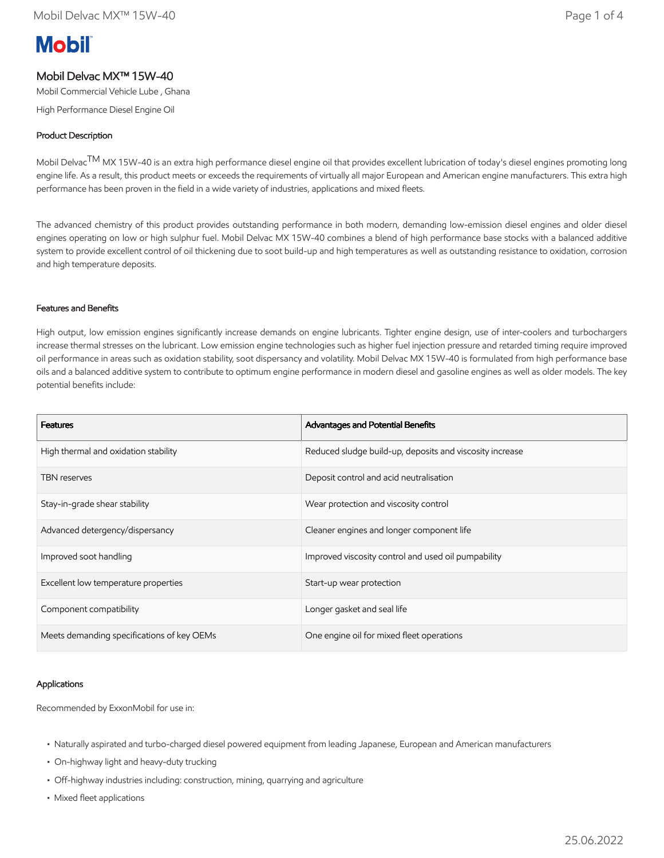# **Mobil**

## Mobil Delvac MX™ 15W-40

Mobil Commercial Vehicle Lube , Ghana

High Performance Diesel Engine Oil

### Product Description

Mobil Delvac<sup>TM</sup> MX 15W-40 is an extra high performance diesel engine oil that provides excellent lubrication of today's diesel engines promoting long engine life. As a result, this product meets or exceeds the requirements of virtually all major European and American engine manufacturers. This extra high performance has been proven in the field in a wide variety of industries, applications and mixed fleets.

The advanced chemistry of this product provides outstanding performance in both modern, demanding low-emission diesel engines and older diesel engines operating on low or high sulphur fuel. Mobil Delvac MX 15W-40 combines a blend of high performance base stocks with a balanced additive system to provide excellent control of oil thickening due to soot build-up and high temperatures as well as outstanding resistance to oxidation, corrosion and high temperature deposits.

#### Features and Benefits

High output, low emission engines significantly increase demands on engine lubricants. Tighter engine design, use of inter-coolers and turbochargers increase thermal stresses on the lubricant. Low emission engine technologies such as higher fuel injection pressure and retarded timing require improved oil performance in areas such as oxidation stability, soot dispersancy and volatility. Mobil Delvac MX 15W-40 is formulated from high performance base oils and a balanced additive system to contribute to optimum engine performance in modern diesel and gasoline engines as well as older models. The key potential benefits include:

| <b>Features</b>                            | Advantages and Potential Benefits                        |
|--------------------------------------------|----------------------------------------------------------|
| High thermal and oxidation stability       | Reduced sludge build-up, deposits and viscosity increase |
| <b>TBN</b> reserves                        | Deposit control and acid neutralisation                  |
| Stay-in-grade shear stability              | Wear protection and viscosity control                    |
| Advanced detergency/dispersancy            | Cleaner engines and longer component life                |
| Improved soot handling                     | Improved viscosity control and used oil pumpability      |
| Excellent low temperature properties       | Start-up wear protection                                 |
| Component compatibility                    | Longer gasket and seal life                              |
| Meets demanding specifications of key OEMs | One engine oil for mixed fleet operations                |

#### Applications

Recommended by ExxonMobil for use in:

- Naturally aspirated and turbo-charged diesel powered equipment from leading Japanese, European and American manufacturers
- On-highway light and heavy-duty trucking
- Off-highway industries including: construction, mining, quarrying and agriculture
- Mixed fleet applications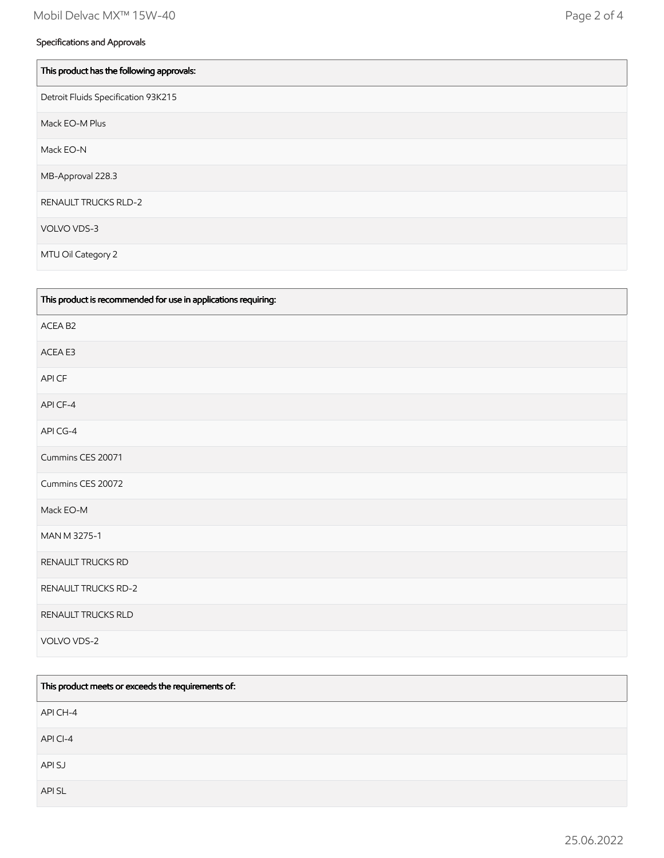| This product has the following approvals: |
|-------------------------------------------|
| Detroit Fluids Specification 93K215       |
| Mack EO-M Plus                            |
| Mack EO-N                                 |
| MB-Approval 228.3                         |
| <b>RENAULT TRUCKS RLD-2</b>               |
| VOLVO VDS-3                               |
| MTU Oil Category 2                        |

| This product is recommended for use in applications requiring: |
|----------------------------------------------------------------|
| ACEA B2                                                        |
| ACEA E3                                                        |
| API CF                                                         |
| API CF-4                                                       |
| API CG-4                                                       |
| Cummins CES 20071                                              |
| Cummins CES 20072                                              |
| Mack EO-M                                                      |
| MAN M 3275-1                                                   |
| RENAULT TRUCKS RD                                              |
| RENAULT TRUCKS RD-2                                            |
| RENAULT TRUCKS RLD                                             |
| VOLVO VDS-2                                                    |

| This product meets or exceeds the requirements of: |
|----------------------------------------------------|
| API CH-4                                           |
| API CI-4                                           |
| API SJ                                             |
| API SL                                             |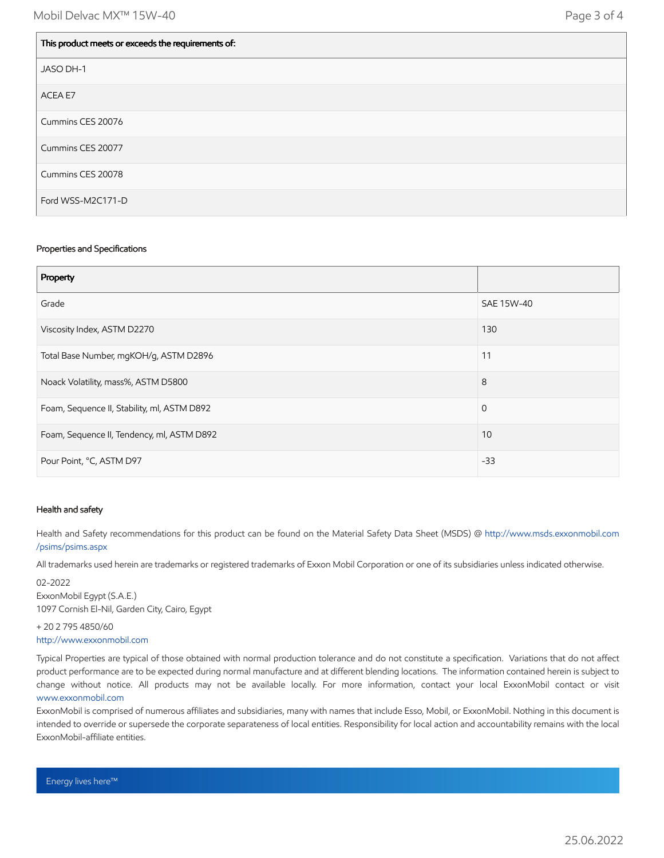| This product meets or exceeds the requirements of: |
|----------------------------------------------------|
| JASO DH-1                                          |
| ACEA E7                                            |
| Cummins CES 20076                                  |
| Cummins CES 20077                                  |
| Cummins CES 20078                                  |
| Ford WSS-M2C171-D                                  |

#### Properties and Specifications

| Property                                    |             |
|---------------------------------------------|-------------|
| Grade                                       | SAE 15W-40  |
| Viscosity Index, ASTM D2270                 | 130         |
| Total Base Number, mgKOH/g, ASTM D2896      | 11          |
| Noack Volatility, mass%, ASTM D5800         | 8           |
| Foam, Sequence II, Stability, ml, ASTM D892 | $\mathbf 0$ |
| Foam, Sequence II, Tendency, ml, ASTM D892  | 10          |
| Pour Point, °C, ASTM D97                    | $-33$       |

#### Health and safety

Health and Safety recommendations for this product can be found on the Material Safety Data Sheet (MSDS) @ [http://www.msds.exxonmobil.com](http://www.msds.exxonmobil.com/psims/psims.aspx) /psims/psims.aspx

All trademarks used herein are trademarks or registered trademarks of Exxon Mobil Corporation or one of its subsidiaries unless indicated otherwise.

02-2022 ExxonMobil Egypt (S.A.E.) 1097 Cornish El-Nil, Garden City, Cairo, Egypt

+ 20 2 795 4850/60 [http://www.exxonmobil.com](http://www.exxonmobil.com/)

Typical Properties are typical of those obtained with normal production tolerance and do not constitute a specification. Variations that do not affect product performance are to be expected during normal manufacture and at different blending locations. The information contained herein is subject to change without notice. All products may not be available locally. For more information, contact your local ExxonMobil contact or visit [www.exxonmobil.com](http://www.exxonmobil.com/)

ExxonMobil is comprised of numerous affiliates and subsidiaries, many with names that include Esso, Mobil, or ExxonMobil. Nothing in this document is intended to override or supersede the corporate separateness of local entities. Responsibility for local action and accountability remains with the local ExxonMobil-affiliate entities.